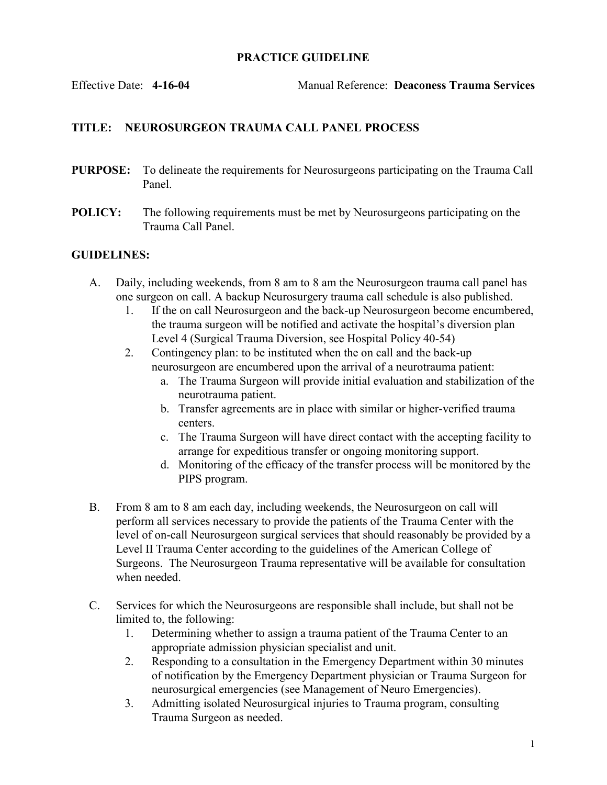## PRACTICE GUIDELINE

Effective Date: 4-16-04 Manual Reference: Deaconess Trauma Services

## TITLE: NEUROSURGEON TRAUMA CALL PANEL PROCESS

- PURPOSE: To delineate the requirements for Neurosurgeons participating on the Trauma Call Panel.
- POLICY: The following requirements must be met by Neurosurgeons participating on the Trauma Call Panel.

## GUIDELINES:

- A. Daily, including weekends, from 8 am to 8 am the Neurosurgeon trauma call panel has one surgeon on call. A backup Neurosurgery trauma call schedule is also published.
	- 1. If the on call Neurosurgeon and the back-up Neurosurgeon become encumbered, the trauma surgeon will be notified and activate the hospital's diversion plan Level 4 (Surgical Trauma Diversion, see Hospital Policy 40-54)
	- 2. Contingency plan: to be instituted when the on call and the back-up neurosurgeon are encumbered upon the arrival of a neurotrauma patient:
		- a. The Trauma Surgeon will provide initial evaluation and stabilization of the neurotrauma patient.
		- b. Transfer agreements are in place with similar or higher-verified trauma centers.
		- c. The Trauma Surgeon will have direct contact with the accepting facility to arrange for expeditious transfer or ongoing monitoring support.
		- d. Monitoring of the efficacy of the transfer process will be monitored by the PIPS program.
- B. From 8 am to 8 am each day, including weekends, the Neurosurgeon on call will perform all services necessary to provide the patients of the Trauma Center with the level of on-call Neurosurgeon surgical services that should reasonably be provided by a Level II Trauma Center according to the guidelines of the American College of Surgeons. The Neurosurgeon Trauma representative will be available for consultation when needed.
- C. Services for which the Neurosurgeons are responsible shall include, but shall not be limited to, the following:
	- 1. Determining whether to assign a trauma patient of the Trauma Center to an appropriate admission physician specialist and unit.
	- 2. Responding to a consultation in the Emergency Department within 30 minutes of notification by the Emergency Department physician or Trauma Surgeon for neurosurgical emergencies (see Management of Neuro Emergencies).
	- 3. Admitting isolated Neurosurgical injuries to Trauma program, consulting Trauma Surgeon as needed.